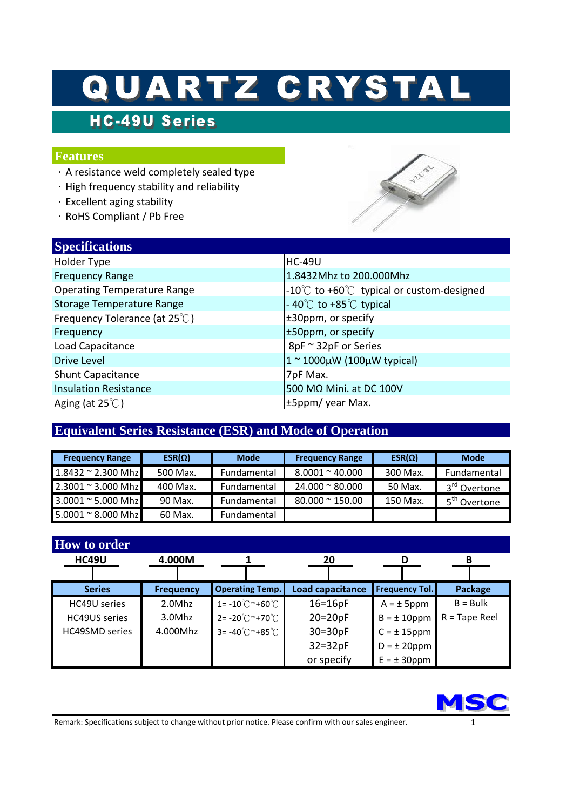# QUARTZ CRYSTAL

## **HC-49U Series**

#### **Features**

**Specifications**

- $\cdot$  A resistance weld completely sealed type
- $\cdot$  High frequency stability and reliability
- .Excellent aging stability
- . RoHS Compliant / Pb Free

| $\beta$                            |                                            |
|------------------------------------|--------------------------------------------|
| Holder Type                        | <b>HC-49U</b>                              |
| <b>Frequency Range</b>             | 1.8432Mhz to 200.000Mhz                    |
| <b>Operating Temperature Range</b> | -10°C to +60°C typical or custom-designed  |
| <b>Storage Temperature Range</b>   | $-40^{\circ}$ C to $+85^{\circ}$ C typical |
| Frequency Tolerance (at 25°C)      | ±30ppm, or specify                         |
| Frequency                          | ±50ppm, or specify                         |
| Load Capacitance                   | 8pF ~ 32pF or Series                       |
| Drive Level                        | $1^{\sim}$ 1000µW (100µW typical)          |
| <b>Shunt Capacitance</b>           | 7pF Max.                                   |
| <b>Insulation Resistance</b>       | 500 MΩ Mini. at DC 100V                    |
| Aging (at $25^{\circ}$ C)          | ±5ppm/ year Max.                           |
|                                    |                                            |

#### **Equivalent Series Resistance (ESR) and Mode of Operation**

| <b>Frequency Range</b>     | $ESR(\Omega)$ | <b>Mode</b> | <b>Frequency Range</b>  | $ESR(\Omega)$ | <b>Mode</b>                      |
|----------------------------|---------------|-------------|-------------------------|---------------|----------------------------------|
| $1.8432 \approx 2.300$ Mhz | 500 Max.      | Fundamental | $8.0001 \approx 40.000$ | 300 Max.      | Fundamental                      |
| $2.3001 \approx 3.000$ Mhz | 400 Max.      | Fundamental | $24.000 \approx 80.000$ | 50 Max.       | 3 <sup>rd</sup> Ove <u>rtone</u> |
| 3.0001 ~ 5.000 Mhz         | 90 Max.       | Fundamental | $80.000 \approx 150.00$ | 150 Max.      | 5 <sup>th</sup> Ov <u>ertone</u> |
| $5.0001 \approx 8.000$ Mhz | 60 Max.       | Fundamental |                         |               |                                  |

| <b>How to order</b>   |                  |                                         |                  |                       |                        |
|-----------------------|------------------|-----------------------------------------|------------------|-----------------------|------------------------|
| <b>HC49U</b>          | 4.000M           |                                         | 20               |                       | в                      |
|                       |                  |                                         |                  |                       |                        |
| <b>Series</b>         | <b>Frequency</b> | <b>Operating Temp.</b>                  | Load capacitance | <b>Frequency Tol.</b> | Package                |
| HC49U series          | 2.0Mhz           | $1 = -10^{\circ}$ $\sim$ +60 $^{\circ}$ | $16=16pF$        | $A = \pm 5$ ppm       | $B = Bulk$             |
| <b>HC49US</b> series  | 3.0Mhz           | $2 = -20^{\circ}$ $\sim$ +70 $^{\circ}$ | $20=20pF$        | $B = \pm 10$ ppm      | $R = \text{Tape Reel}$ |
| <b>HC49SMD series</b> | 4.000Mhz         | $3 = -40^{\circ}$ $\sim$ +85 $^{\circ}$ | $30=30pF$        | $C = \pm 15$ ppm      |                        |
|                       |                  |                                         | $32=32pF$        | $D = \pm 20$ ppm      |                        |
|                       |                  |                                         | or specify       | $E = \pm 30$ ppm      |                        |



Remark: Specifications subject to change without prior notice. Please confirm with our sales engineer. 1